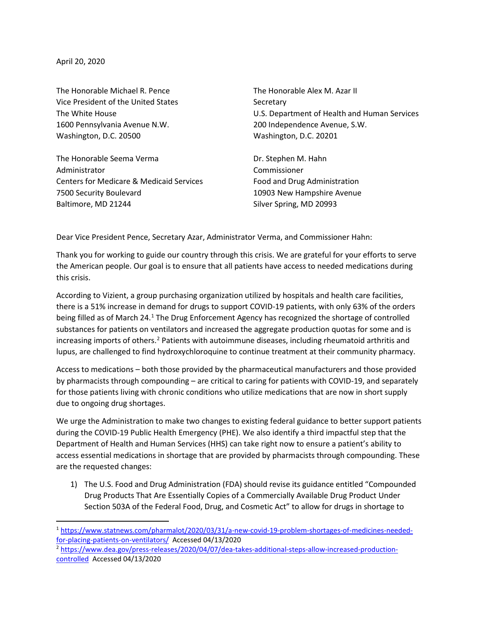April 20, 2020

 $\overline{\phantom{a}}$ 

The Honorable Michael R. Pence The Honorable Alex M. Azar II Vice President of the United States Secretary 1600 Pennsylvania Avenue N.W. 200 Independence Avenue, S.W. Washington, D.C. 20500 Washington, D.C. 20201

The Honorable Seema Verma Dr. Stephen M. Hahn Administrator Commissioner Centers for Medicare & Medicaid Services Food and Drug Administration 7500 Security Boulevard 10903 New Hampshire Avenue Baltimore, MD 21244 Silver Spring, MD 20993

The White House U.S. Department of Health and Human Services

Dear Vice President Pence, Secretary Azar, Administrator Verma, and Commissioner Hahn:

Thank you for working to guide our country through this crisis. We are grateful for your efforts to serve the American people. Our goal is to ensure that all patients have access to needed medications during this crisis.

According to Vizient, a group purchasing organization utilized by hospitals and health care facilities, there is a 51% increase in demand for drugs to support COVID-19 patients, with only 63% of the orders being filled as of March 24[.1](#page-0-0) The Drug Enforcement Agency has recognized the shortage of controlled substances for patients on ventilators and increased the aggregate production quotas for some and is increasing imports of others.<sup>[2](#page-0-1)</sup> Patients with autoimmune diseases, including rheumatoid arthritis and lupus, are challenged to find hydroxychloroquine to continue treatment at their community pharmacy.

Access to medications – both those provided by the pharmaceutical manufacturers and those provided by pharmacists through compounding – are critical to caring for patients with COVID-19, and separately for those patients living with chronic conditions who utilize medications that are now in short supply due to ongoing drug shortages.

We urge the Administration to make two changes to existing federal guidance to better support patients during the COVID-19 Public Health Emergency (PHE). We also identify a third impactful step that the Department of Health and Human Services (HHS) can take right now to ensure a patient's ability to access essential medications in shortage that are provided by pharmacists through compounding. These are the requested changes:

1) The U.S. Food and Drug Administration (FDA) should revise its guidance entitled "Compounded Drug Products That Are Essentially Copies of a Commercially Available Drug Product Under Section 503A of the Federal Food, Drug, and Cosmetic Act" to allow for drugs in shortage to

<span id="page-0-0"></span><sup>1</sup> [https://www.statnews.com/pharmalot/2020/03/31/a-new-covid-19-problem-shortages-of-medicines-needed](https://www.statnews.com/pharmalot/2020/03/31/a-new-covid-19-problem-shortages-of-medicines-needed-for-placing-patients-on-ventilators/)[for-placing-patients-on-ventilators/](https://www.statnews.com/pharmalot/2020/03/31/a-new-covid-19-problem-shortages-of-medicines-needed-for-placing-patients-on-ventilators/) Accessed 04/13/2020

<span id="page-0-1"></span><sup>2</sup> [https://www.dea.gov/press-releases/2020/04/07/dea-takes-additional-steps-allow-increased-production](https://www.dea.gov/press-releases/2020/04/07/dea-takes-additional-steps-allow-increased-production-controlled)[controlled](https://www.dea.gov/press-releases/2020/04/07/dea-takes-additional-steps-allow-increased-production-controlled) Accessed 04/13/2020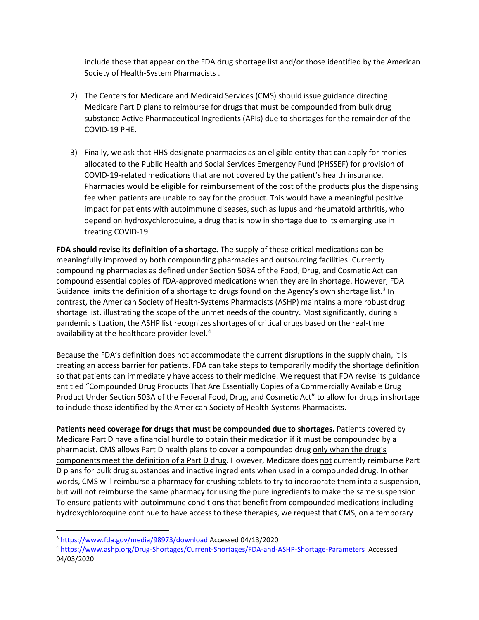include those that appear on the FDA drug shortage list and/or those identified by the American Society of Health-System Pharmacists .

- 2) The Centers for Medicare and Medicaid Services (CMS) should issue guidance directing Medicare Part D plans to reimburse for drugs that must be compounded from bulk drug substance Active Pharmaceutical Ingredients (APIs) due to shortages for the remainder of the COVID-19 PHE.
- 3) Finally, we ask that HHS designate pharmacies as an eligible entity that can apply for monies allocated to the Public Health and Social Services Emergency Fund (PHSSEF) for provision of COVID-19-related medications that are not covered by the patient's health insurance. Pharmacies would be eligible for reimbursement of the cost of the products plus the dispensing fee when patients are unable to pay for the product. This would have a meaningful positive impact for patients with autoimmune diseases, such as lupus and rheumatoid arthritis, who depend on hydroxychloroquine, a drug that is now in shortage due to its emerging use in treating COVID-19.

**FDA should revise its definition of a shortage.** The supply of these critical medications can be meaningfully improved by both compounding pharmacies and outsourcing facilities. Currently compounding pharmacies as defined under Section 503A of the Food, Drug, and Cosmetic Act can compound essential copies of FDA-approved medications when they are in shortage. However, FDA Guidance limits the definition of a shortage to drugs found on the Agency's own shortage list.<sup>[3](#page-1-0)</sup> In contrast, the American Society of Health-Systems Pharmacists (ASHP) maintains a more robust drug shortage list, illustrating the scope of the unmet needs of the country. Most significantly, during a pandemic situation, the ASHP list recognizes shortages of critical drugs based on the real-time availability at the healthcare provider level.<sup>[4](#page-1-1)</sup>

Because the FDA's definition does not accommodate the current disruptions in the supply chain, it is creating an access barrier for patients. FDA can take steps to temporarily modify the shortage definition so that patients can immediately have access to their medicine. We request that FDA revise its guidance entitled "Compounded Drug Products That Are Essentially Copies of a Commercially Available Drug Product Under Section 503A of the Federal Food, Drug, and Cosmetic Act" to allow for drugs in shortage to include those identified by the American Society of Health-Systems Pharmacists.

**Patients need coverage for drugs that must be compounded due to shortages.** Patients covered by Medicare Part D have a financial hurdle to obtain their medication if it must be compounded by a pharmacist. CMS allows Part D health plans to cover a compounded drug only when the drug's components meet the definition of a Part D drug. However, Medicare does not currently reimburse Part D plans for bulk drug substances and inactive ingredients when used in a compounded drug. In other words, CMS will reimburse a pharmacy for crushing tablets to try to incorporate them into a suspension, but will not reimburse the same pharmacy for using the pure ingredients to make the same suspension. To ensure patients with autoimmune conditions that benefit from compounded medications including hydroxychloroquine continue to have access to these therapies, we request that CMS, on a temporary

 $\overline{\phantom{a}}$ 

<span id="page-1-0"></span><sup>3</sup> <https://www.fda.gov/media/98973/download> Accessed 04/13/2020

<span id="page-1-1"></span><sup>4</sup> <https://www.ashp.org/Drug-Shortages/Current-Shortages/FDA-and-ASHP-Shortage-Parameters>Accessed 04/03/2020